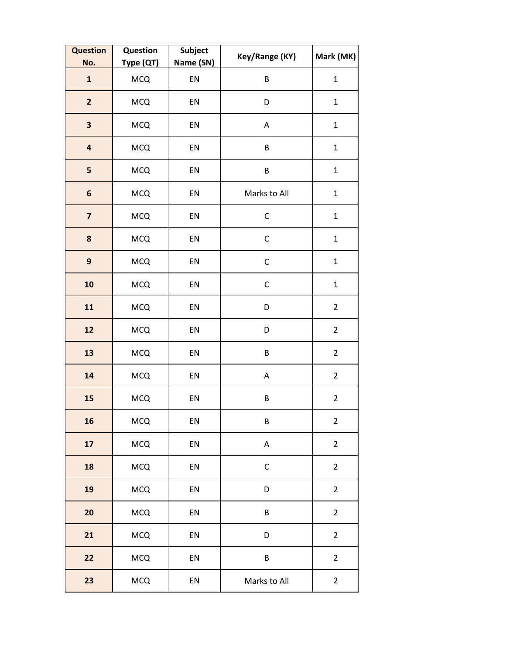| <b>Question</b><br>No.  | Question<br>Type (QT) | Subject<br>Name (SN) | Key/Range (KY) | Mark (MK)               |
|-------------------------|-----------------------|----------------------|----------------|-------------------------|
| $\mathbf{1}$            | <b>MCQ</b>            | EN                   | B              | $\mathbf 1$             |
| $\overline{\mathbf{2}}$ | <b>MCQ</b>            | EN                   | D              | $\mathbf 1$             |
| $\overline{\mathbf{3}}$ | <b>MCQ</b>            | EN                   | Α              | $\mathbf{1}$            |
| $\overline{\mathbf{a}}$ | <b>MCQ</b>            | EN                   | B              | $\mathbf 1$             |
| 5                       | <b>MCQ</b>            | EN                   | B              | $\mathbf{1}$            |
| $\boldsymbol{6}$        | <b>MCQ</b>            | EN                   | Marks to All   | $\mathbf{1}$            |
| $\overline{\mathbf{z}}$ | MCQ                   | EN                   | $\mathsf C$    | $\mathbf{1}$            |
| $\pmb{8}$               | <b>MCQ</b>            | EN                   | $\mathsf C$    | $\mathbf{1}$            |
| $\boldsymbol{9}$        | <b>MCQ</b>            | EN                   | $\mathsf{C}$   | $\mathbf 1$             |
| 10                      | <b>MCQ</b>            | EN                   | $\mathsf C$    | $\mathbf 1$             |
| 11                      | <b>MCQ</b>            | EN                   | D              | $\overline{2}$          |
| 12                      | <b>MCQ</b>            | EN                   | D              | $\overline{2}$          |
| 13                      | <b>MCQ</b>            | EN                   | B              | $\overline{2}$          |
| 14                      | <b>MCQ</b>            | EN                   | A              | $\overline{2}$          |
| 15                      | <b>MCQ</b>            | EN                   | B              | $\overline{2}$          |
| 16                      | MCQ                   | EN                   | B              | $\overline{2}$          |
| 17                      | <b>MCQ</b>            | EN                   | A              | $\overline{2}$          |
| 18                      | <b>MCQ</b>            | EN                   | $\mathsf C$    | $\overline{2}$          |
| 19                      | <b>MCQ</b>            | EN                   | D              | $\overline{2}$          |
| 20                      | <b>MCQ</b>            | EN                   | B              | $\overline{2}$          |
| 21                      | <b>MCQ</b>            | EN                   | D              | $\overline{2}$          |
| 22                      | <b>MCQ</b>            | EN                   | B              | $\overline{2}$          |
| 23                      | <b>MCQ</b>            | EN                   | Marks to All   | $\overline{\mathbf{c}}$ |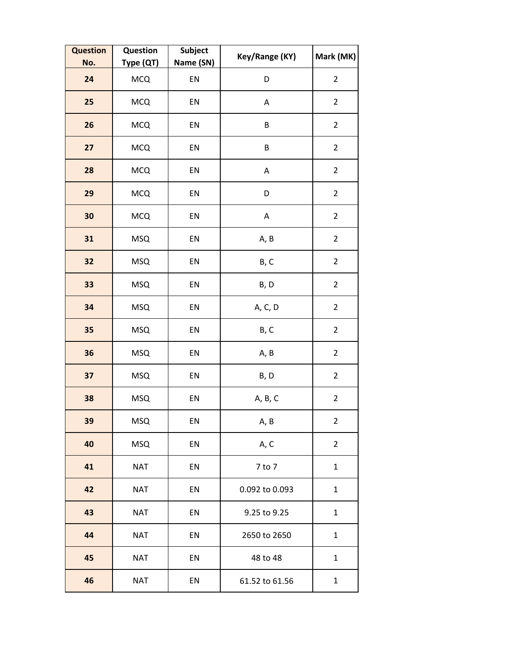| <b>Question</b><br>No. | Question<br>Type (QT) | Subject<br>Name (SN) | Key/Range (KY) | Mark (MK)      |
|------------------------|-----------------------|----------------------|----------------|----------------|
| 24                     | <b>MCQ</b>            | EN                   | D              | $\overline{2}$ |
| 25                     | <b>MCQ</b>            | EN                   | А              | $\overline{2}$ |
| 26                     | <b>MCQ</b>            | EN                   | $\sf B$        | $\overline{2}$ |
| 27                     | <b>MCQ</b>            | EN                   | B              | $\overline{2}$ |
| 28                     | <b>MCQ</b>            | EN                   | A              | $\overline{2}$ |
| 29                     | <b>MCQ</b>            | EN                   | D              | $\overline{2}$ |
| 30                     | <b>MCQ</b>            | EN                   | A              | $\overline{2}$ |
| 31                     | <b>MSQ</b>            | EN                   | A, B           | $\overline{2}$ |
| 32                     | <b>MSQ</b>            | EN                   | B, C           | $\overline{2}$ |
| 33                     | <b>MSQ</b>            | EN                   | B, D           | $\overline{2}$ |
| 34                     | <b>MSQ</b>            | EN                   | A, C, D        | $\overline{2}$ |
| 35                     | <b>MSQ</b>            | EN                   | B, C           | $\overline{2}$ |
| 36                     | <b>MSQ</b>            | EN                   | A, B           | $\overline{2}$ |
| 37                     | <b>MSQ</b>            | EN                   | B, D           | $\overline{2}$ |
| 38                     | <b>MSQ</b>            | EN                   | A, B, C        | $\overline{2}$ |
| 39                     | <b>MSQ</b>            | EN                   | A, B           | $\overline{2}$ |
| 40                     | <b>MSQ</b>            | EN                   | A, C           | $\overline{2}$ |
| 41                     | <b>NAT</b>            | EN                   | 7 to 7         | $\mathbf{1}$   |
| 42                     | <b>NAT</b>            | EN                   | 0.092 to 0.093 | $\mathbf{1}$   |
| 43                     | <b>NAT</b>            | EN                   | 9.25 to 9.25   | $\mathbf{1}$   |
| 44                     | <b>NAT</b>            | EN                   | 2650 to 2650   | $\mathbf{1}$   |
| 45                     | <b>NAT</b>            | EN                   | 48 to 48       | $\mathbf{1}$   |
| 46                     | <b>NAT</b>            | EN                   | 61.52 to 61.56 | $\mathbf{1}$   |